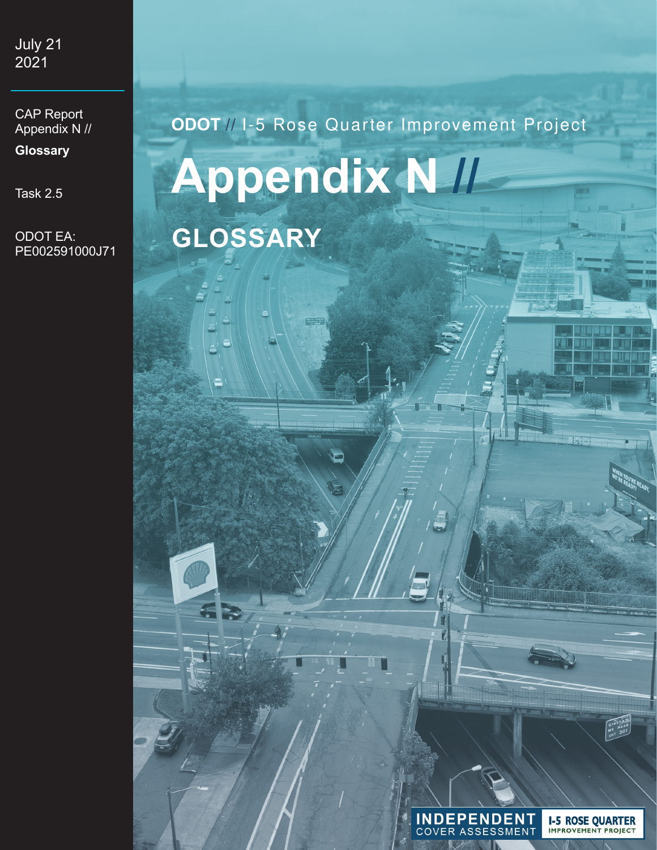July 21 2021

CAP Report Appendix N //

**Glossary**

Task 2.5

ODOT EA: PE002591000J71

# **ODOT** // I-5 Rose Quarter Improvement Project **Appendix N // GLOSSARY**



**I-5 ROSE QUARTER**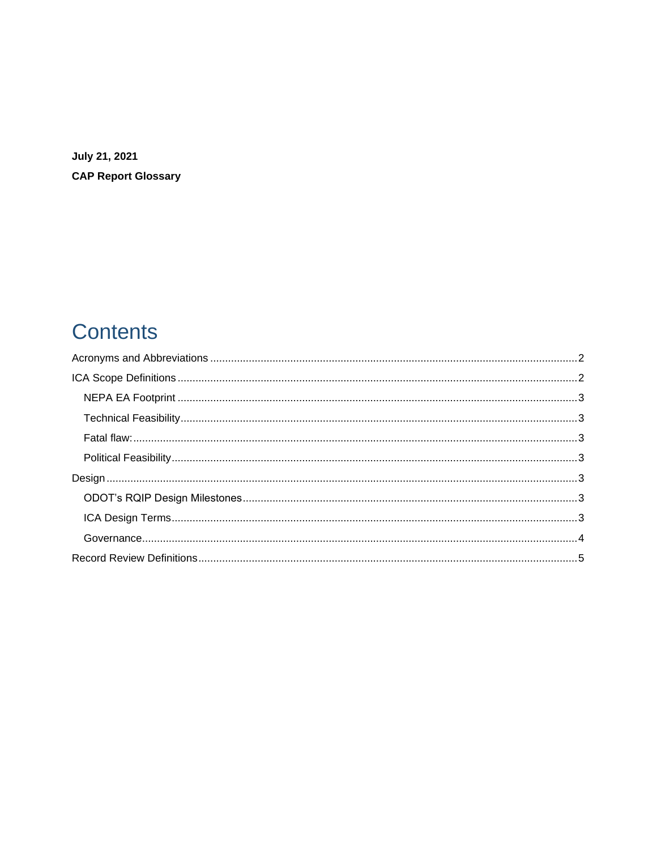**July 21, 2021 CAP Report Glossary** 

# **Contents**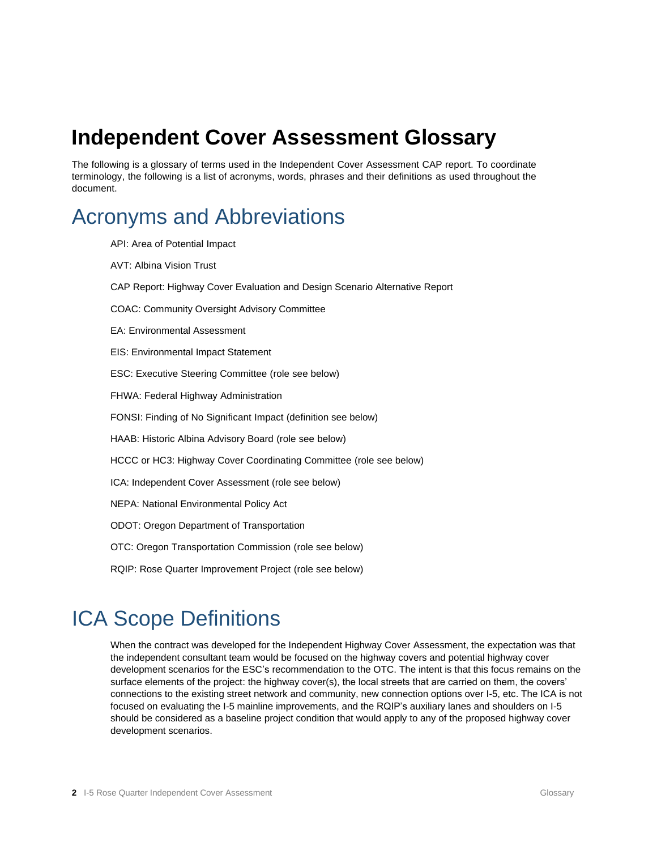# **Independent Cover Assessment Glossary**

The following is a glossary of terms used in the Independent Cover Assessment CAP report. To coordinate terminology, the following is a list of acronyms, words, phrases and their definitions as used throughout the document.

## <span id="page-2-0"></span>Acronyms and Abbreviations

API: Area of Potential Impact AVT: Albina Vision Trust CAP Report: Highway Cover Evaluation and Design Scenario Alternative Report COAC: Community Oversight Advisory Committee EA: Environmental Assessment EIS: Environmental Impact Statement ESC: Executive Steering Committee (role see below) FHWA: Federal Highway Administration FONSI: Finding of No Significant Impact (definition see below) HAAB: Historic Albina Advisory Board (role see below) HCCC or HC3: Highway Cover Coordinating Committee (role see below) ICA: Independent Cover Assessment (role see below) NEPA: National Environmental Policy Act ODOT: Oregon Department of Transportation OTC: Oregon Transportation Commission (role see below) RQIP: Rose Quarter Improvement Project (role see below)

# <span id="page-2-1"></span>ICA Scope Definitions

When the contract was developed for the Independent Highway Cover Assessment, the expectation was that the independent consultant team would be focused on the highway covers and potential highway cover development scenarios for the ESC's recommendation to the OTC. The intent is that this focus remains on the surface elements of the project: the highway cover(s), the local streets that are carried on them, the covers' connections to the existing street network and community, new connection options over I-5, etc. The ICA is not focused on evaluating the I-5 mainline improvements, and the RQIP's auxiliary lanes and shoulders on I-5 should be considered as a baseline project condition that would apply to any of the proposed highway cover development scenarios.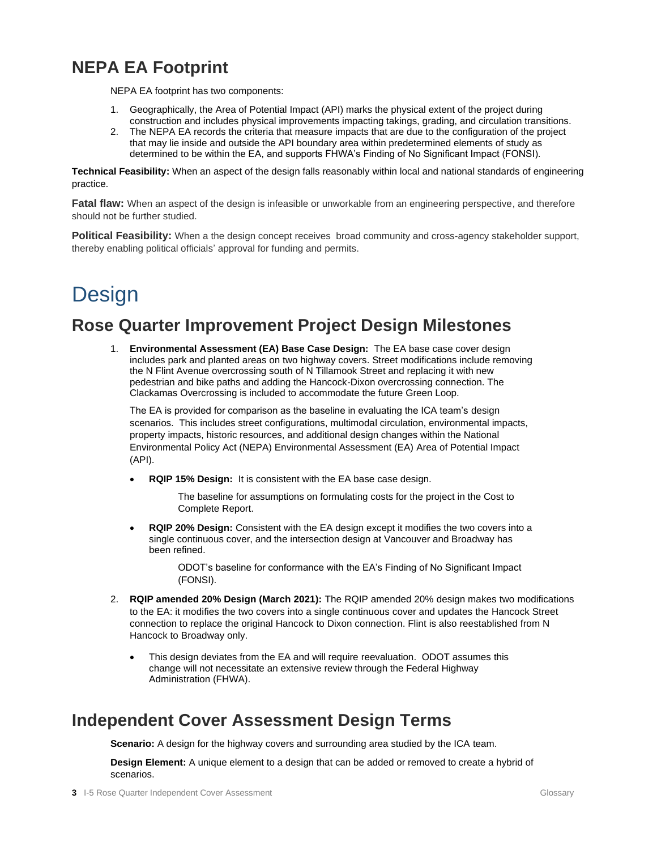## <span id="page-3-0"></span>**NEPA EA Footprint**

NEPA EA footprint has two components:

- 1. Geographically, the Area of Potential Impact (API) marks the physical extent of the project during construction and includes physical improvements impacting takings, grading, and circulation transitions.
- 2. The NEPA EA records the criteria that measure impacts that are due to the configuration of the project that may lie inside and outside the API boundary area within predetermined elements of study as determined to be within the EA, and supports FHWA's Finding of No Significant Impact (FONSI).

<span id="page-3-1"></span>**Technical Feasibility:** When an aspect of the design falls reasonably within local and national standards of engineering practice.

<span id="page-3-2"></span>**Fatal flaw:** When an aspect of the design is infeasible or unworkable from an engineering perspective, and therefore should not be further studied.

<span id="page-3-3"></span>**Political Feasibility:** When a the design concept receives broad community and cross-agency stakeholder support, thereby enabling political officials' approval for funding and permits.

# <span id="page-3-4"></span>**Design**

### <span id="page-3-5"></span>**Rose Quarter Improvement Project Design Milestones**

1. **Environmental Assessment (EA) Base Case Design:** The EA base case cover design includes park and planted areas on two highway covers. Street modifications include removing the N Flint Avenue overcrossing south of N Tillamook Street and replacing it with new pedestrian and bike paths and adding the Hancock-Dixon overcrossing connection. The Clackamas Overcrossing is included to accommodate the future Green Loop.

The EA is provided for comparison as the baseline in evaluating the ICA team's design scenarios. This includes street configurations, multimodal circulation, environmental impacts, property impacts, historic resources, and additional design changes within the National Environmental Policy Act (NEPA) Environmental Assessment (EA) Area of Potential Impact (API).

• **RQIP 15% Design:** It is consistent with the EA base case design.

The baseline for assumptions on formulating costs for the project in the Cost to Complete Report.

• **RQIP 20% Design:** Consistent with the EA design except it modifies the two covers into a single continuous cover, and the intersection design at Vancouver and Broadway has been refined.

> ODOT's baseline for conformance with the EA's Finding of No Significant Impact (FONSI).

- 2. **RQIP amended 20% Design (March 2021):** The RQIP amended 20% design makes two modifications to the EA: it modifies the two covers into a single continuous cover and updates the Hancock Street connection to replace the original Hancock to Dixon connection. Flint is also reestablished from N Hancock to Broadway only.
	- This design deviates from the EA and will require reevaluation. ODOT assumes this change will not necessitate an extensive review through the Federal Highway Administration (FHWA).

## <span id="page-3-6"></span>**Independent Cover Assessment Design Terms**

**Scenario:** A design for the highway covers and surrounding area studied by the ICA team.

**Design Element:** A unique element to a design that can be added or removed to create a hybrid of scenarios.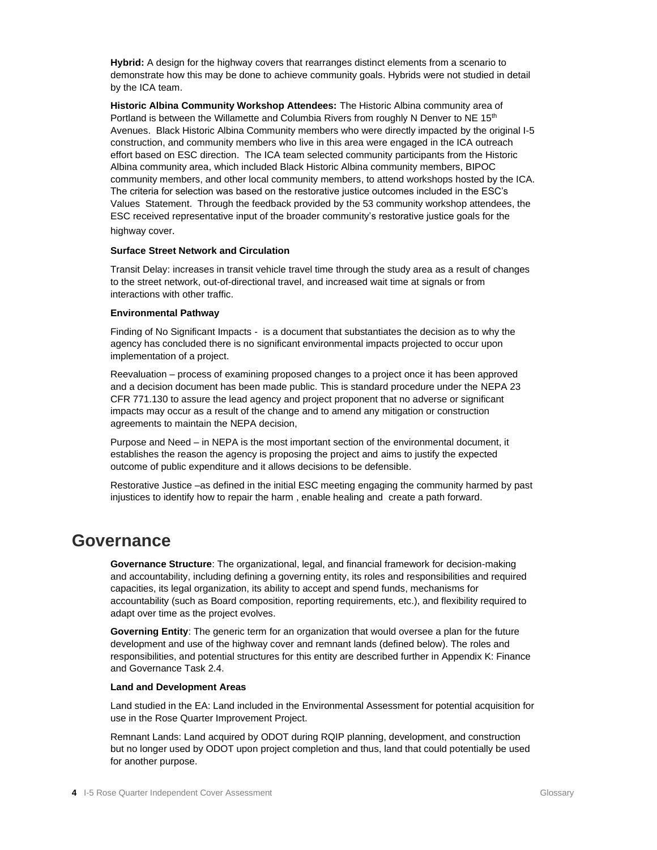**Hybrid:** A design for the highway covers that rearranges distinct elements from a scenario to demonstrate how this may be done to achieve community goals. Hybrids were not studied in detail by the ICA team.

**Historic Albina Community Workshop Attendees:** The Historic Albina community area of Portland is between the Willamette and Columbia Rivers from roughly N Denver to NE  $15<sup>th</sup>$ Avenues. Black Historic Albina Community members who were directly impacted by the original I-5 construction, and community members who live in this area were engaged in the ICA outreach effort based on ESC direction. The ICA team selected community participants from the Historic Albina community area, which included Black Historic Albina community members, BIPOC community members, and other local community members, to attend workshops hosted by the ICA. The criteria for selection was based on the restorative justice outcomes included in the ESC's Values Statement. Through the feedback provided by the 53 community workshop attendees, the ESC received representative input of the broader community's restorative justice goals for the highway cover.

#### **Surface Street Network and Circulation**

Transit Delay: increases in transit vehicle travel time through the study area as a result of changes to the street network, out-of-directional travel, and increased wait time at signals or from interactions with other traffic.

#### **Environmental Pathway**

Finding of No Significant Impacts - is a document that substantiates the decision as to why the agency has concluded there is no significant environmental impacts projected to occur upon implementation of a project.

Reevaluation – process of examining proposed changes to a project once it has been approved and a decision document has been made public. This is standard procedure under the NEPA 23 CFR 771.130 to assure the lead agency and project proponent that no adverse or significant impacts may occur as a result of the change and to amend any mitigation or construction agreements to maintain the NEPA decision,

Purpose and Need – in NEPA is the most important section of the environmental document, it establishes the reason the agency is proposing the project and aims to justify the expected outcome of public expenditure and it allows decisions to be defensible.

Restorative Justice –as defined in the initial ESC meeting engaging the community harmed by past injustices to identify how to repair the harm , enable healing and create a path forward.

#### <span id="page-4-0"></span>**Governance**

**Governance Structure**: The organizational, legal, and financial framework for decision-making and accountability, including defining a governing entity, its roles and responsibilities and required capacities, its legal organization, its ability to accept and spend funds, mechanisms for accountability (such as Board composition, reporting requirements, etc.), and flexibility required to adapt over time as the project evolves.

**Governing Entity**: The generic term for an organization that would oversee a plan for the future development and use of the highway cover and remnant lands (defined below). The roles and responsibilities, and potential structures for this entity are described further in Appendix K: Finance and Governance Task 2.4.

#### **Land and Development Areas**

Land studied in the EA: Land included in the Environmental Assessment for potential acquisition for use in the Rose Quarter Improvement Project.

Remnant Lands: Land acquired by ODOT during RQIP planning, development, and construction but no longer used by ODOT upon project completion and thus, land that could potentially be used for another purpose.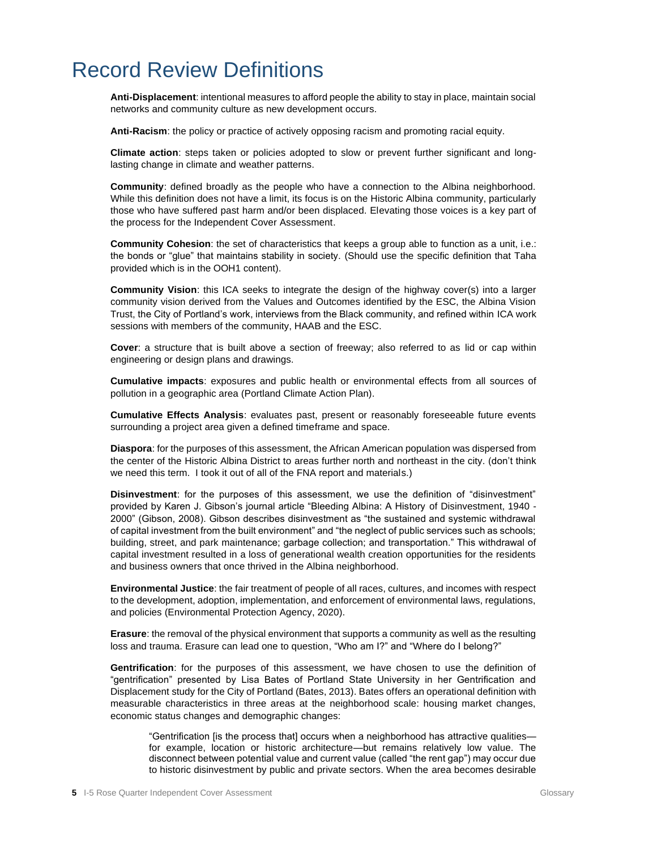# <span id="page-5-0"></span>Record Review Definitions

**Anti-Displacement**: intentional measures to afford people the ability to stay in place, maintain social networks and community culture as new development occurs.

**Anti-Racism**: the policy or practice of actively opposing racism and promoting racial equity.

**Climate action**: steps taken or policies adopted to slow or prevent further significant and longlasting change in climate and weather patterns.

**Community**: defined broadly as the people who have a connection to the Albina neighborhood. While this definition does not have a limit, its focus is on the Historic Albina community, particularly those who have suffered past harm and/or been displaced. Elevating those voices is a key part of the process for the Independent Cover Assessment.

**Community Cohesion**: the set of characteristics that keeps a group able to function as a unit, i.e.: the bonds or "glue" that maintains stability in society. (Should use the specific definition that Taha provided which is in the OOH1 content).

**Community Vision**: this ICA seeks to integrate the design of the highway cover(s) into a larger community vision derived from the Values and Outcomes identified by the ESC, the Albina Vision Trust, the City of Portland's work, interviews from the Black community, and refined within ICA work sessions with members of the community, HAAB and the ESC.

**Cover**: a structure that is built above a section of freeway; also referred to as lid or cap within engineering or design plans and drawings.

**Cumulative impacts**: exposures and public health or environmental effects from all sources of pollution in a geographic area (Portland Climate Action Plan).

**Cumulative Effects Analysis**: evaluates past, present or reasonably foreseeable future events surrounding a project area given a defined timeframe and space.

**Diaspora**: for the purposes of this assessment, the African American population was dispersed from the center of the Historic Albina District to areas further north and northeast in the city. (don't think we need this term. I took it out of all of the FNA report and materials.)

**Disinvestment**: for the purposes of this assessment, we use the definition of "disinvestment" provided by Karen J. Gibson's journal article "Bleeding Albina: A History of Disinvestment, 1940 - 2000" (Gibson, 2008). Gibson describes disinvestment as "the sustained and systemic withdrawal of capital investment from the built environment" and "the neglect of public services such as schools; building, street, and park maintenance; garbage collection; and transportation." This withdrawal of capital investment resulted in a loss of generational wealth creation opportunities for the residents and business owners that once thrived in the Albina neighborhood.

**Environmental Justice**: the fair treatment of people of all races, cultures, and incomes with respect to the development, adoption, implementation, and enforcement of environmental laws, regulations, and policies (Environmental Protection Agency, 2020).

**Erasure**: the removal of the physical environment that supports a community as well as the resulting loss and trauma. Erasure can lead one to question, "Who am I?" and "Where do I belong?"

**Gentrification**: for the purposes of this assessment, we have chosen to use the definition of "gentrification" presented by Lisa Bates of Portland State University in her Gentrification and Displacement study for the City of Portland (Bates, 2013). Bates offers an operational definition with measurable characteristics in three areas at the neighborhood scale: housing market changes, economic status changes and demographic changes:

"Gentrification [is the process that] occurs when a neighborhood has attractive qualities for example, location or historic architecture—but remains relatively low value. The disconnect between potential value and current value (called "the rent gap") may occur due to historic disinvestment by public and private sectors. When the area becomes desirable